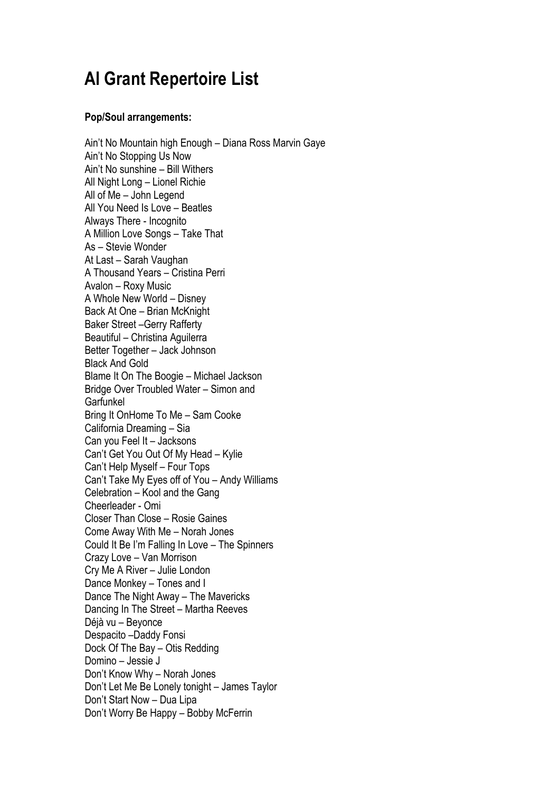## **Al Grant Repertoire List**

## **Pop/Soul arrangements:**

Ain't No Mountain high Enough – Diana Ross Marvin Gaye Ain't No Stopping Us Now Ain't No sunshine – Bill Withers All Night Long – Lionel Richie All of Me – John Legend All You Need Is Love – Beatles Always There - Incognito A Million Love Songs – Take That As – Stevie Wonder At Last – Sarah Vaughan A Thousand Years – Cristina Perri Avalon – Roxy Music A Whole New World – Disney Back At One – Brian McKnight Baker Street –Gerry Rafferty Beautiful – Christina Aguilerra Better Together – Jack Johnson Black And Gold Blame It On The Boogie – Michael Jackson Bridge Over Troubled Water – Simon and Garfunkel Bring It OnHome To Me – Sam Cooke California Dreaming – Sia Can you Feel It – Jacksons Can't Get You Out Of My Head – Kylie Can't Help Myself – Four Tops Can't Take My Eyes off of You – Andy Williams Celebration – Kool and the Gang Cheerleader - Omi Closer Than Close – Rosie Gaines Come Away With Me – Norah Jones Could It Be I'm Falling In Love – The Spinners Crazy Love – Van Morrison Cry Me A River – Julie London Dance Monkey – Tones and I Dance The Night Away – The Mavericks Dancing In The Street – Martha Reeves Déjà vu – Beyonce Despacito –Daddy Fonsi Dock Of The Bay – Otis Redding Domino – Jessie J Don't Know Why – Norah Jones Don't Let Me Be Lonely tonight – James Taylor Don't Start Now – Dua Lipa Don't Worry Be Happy – Bobby McFerrin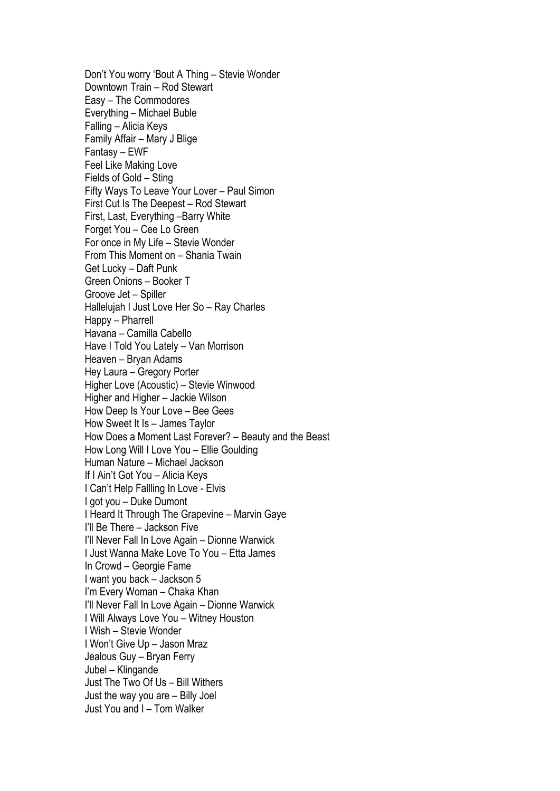Don't You worry 'Bout A Thing – Stevie Wonder Downtown Train – Rod Stewart Easy – The Commodores Everything – Michael Buble Falling – Alicia Keys Family Affair – Mary J Blige Fantasy – EWF Feel Like Making Love Fields of Gold – Sting Fifty Ways To Leave Your Lover – Paul Simon First Cut Is The Deepest – Rod Stewart First, Last, Everything –Barry White Forget You – Cee Lo Green For once in My Life – Stevie Wonder From This Moment on – Shania Twain Get Lucky – Daft Punk Green Onions – Booker T Groove Jet – Spiller Hallelujah I Just Love Her So – Ray Charles Happy – Pharrell Havana – Camilla Cabello Have I Told You Lately – Van Morrison Heaven – Bryan Adams Hey Laura – Gregory Porter Higher Love (Acoustic) – Stevie Winwood Higher and Higher – Jackie Wilson How Deep Is Your Love – Bee Gees How Sweet It Is – James Taylor How Does a Moment Last Forever? – Beauty and the Beast How Long Will I Love You – Ellie Goulding Human Nature – Michael Jackson If I Ain't Got You – Alicia Keys I Can't Help Fallling In Love - Elvis I got you – Duke Dumont I Heard It Through The Grapevine – Marvin Gaye I'll Be There – Jackson Five I'll Never Fall In Love Again – Dionne Warwick I Just Wanna Make Love To You – Etta James In Crowd – Georgie Fame I want you back – Jackson 5 I'm Every Woman – Chaka Khan I'll Never Fall In Love Again – Dionne Warwick I Will Always Love You – Witney Houston I Wish – Stevie Wonder I Won't Give Up – Jason Mraz Jealous Guy – Bryan Ferry Jubel – Klingande Just The Two Of Us – Bill Withers Just the way you are – Billy Joel Just You and I – Tom Walker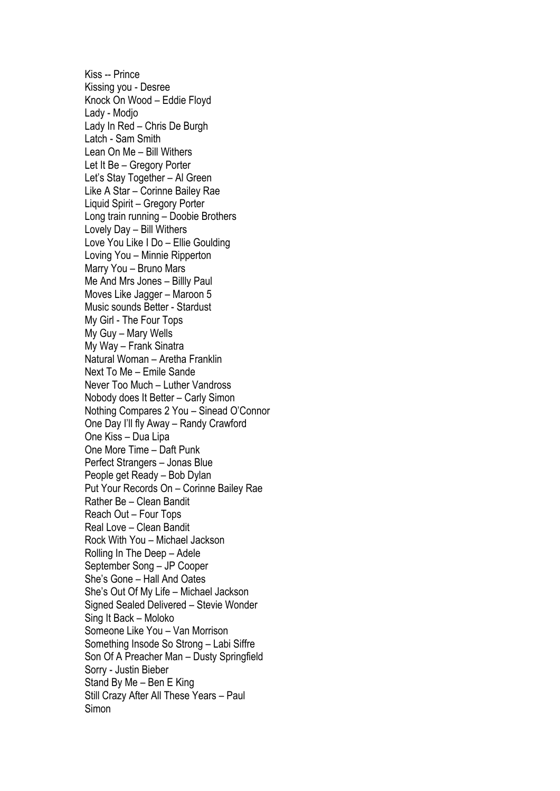Kiss -- Prince Kissing you - Desree Knock On Wood – Eddie Floyd Lady - Modjo Lady In Red – Chris De Burgh Latch - Sam Smith Lean On Me – Bill Withers Let It Be – Gregory Porter Let's Stay Together – Al Green Like A Star – Corinne Bailey Rae Liquid Spirit – Gregory Porter Long train running – Doobie Brothers Lovely Day – Bill Withers Love You Like I Do – Ellie Goulding Loving You – Minnie Ripperton Marry You – Bruno Mars Me And Mrs Jones – Billly Paul Moves Like Jagger – Maroon 5 Music sounds Better - Stardust My Girl - The Four Tops My Guy – Mary Wells My Way – Frank Sinatra Natural Woman – Aretha Franklin Next To Me – Emile Sande Never Too Much – Luther Vandross Nobody does It Better – Carly Simon Nothing Compares 2 You – Sinead O'Connor One Day I'll fly Away – Randy Crawford One Kiss – Dua Lipa One More Time – Daft Punk Perfect Strangers – Jonas Blue People get Ready – Bob Dylan Put Your Records On – Corinne Bailey Rae Rather Be – Clean Bandit Reach Out – Four Tops Real Love – Clean Bandit Rock With You – Michael Jackson Rolling In The Deep – Adele September Song – JP Cooper She's Gone – Hall And Oates She's Out Of My Life – Michael Jackson Signed Sealed Delivered – Stevie Wonder Sing It Back – Moloko Someone Like You – Van Morrison Something Insode So Strong – Labi Siffre Son Of A Preacher Man – Dusty Springfield Sorry - Justin Bieber Stand By Me – Ben E King Still Crazy After All These Years – Paul Simon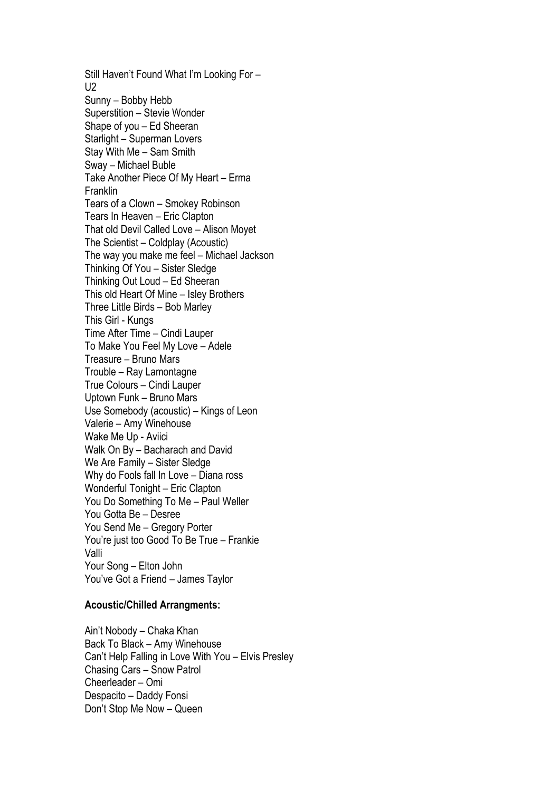Still Haven't Found What I'm Looking For –  $U<sub>2</sub>$ Sunny – Bobby Hebb Superstition – Stevie Wonder Shape of you – Ed Sheeran Starlight – Superman Lovers Stay With Me – Sam Smith Sway – Michael Buble Take Another Piece Of My Heart – Erma Franklin Tears of a Clown – Smokey Robinson Tears In Heaven – Eric Clapton That old Devil Called Love – Alison Moyet The Scientist – Coldplay (Acoustic) The way you make me feel – Michael Jackson Thinking Of You – Sister Sledge Thinking Out Loud – Ed Sheeran This old Heart Of Mine – Isley Brothers Three Little Birds – Bob Marley This Girl - Kungs Time After Time – Cindi Lauper To Make You Feel My Love – Adele Treasure – Bruno Mars Trouble – Ray Lamontagne True Colours – Cindi Lauper Uptown Funk – Bruno Mars Use Somebody (acoustic) – Kings of Leon Valerie – Amy Winehouse Wake Me Up - Aviici Walk On By – Bacharach and David We Are Family – Sister Sledge Why do Fools fall In Love – Diana ross Wonderful Tonight – Eric Clapton You Do Something To Me – Paul Weller You Gotta Be – Desree You Send Me – Gregory Porter You're just too Good To Be True – Frankie Valli Your Song – Elton John You've Got a Friend – James Taylor

## **Acoustic/Chilled Arrangments:**

Ain't Nobody – Chaka Khan Back To Black – Amy Winehouse Can't Help Falling in Love With You – Elvis Presley Chasing Cars – Snow Patrol Cheerleader – Omi Despacito – Daddy Fonsi Don't Stop Me Now – Queen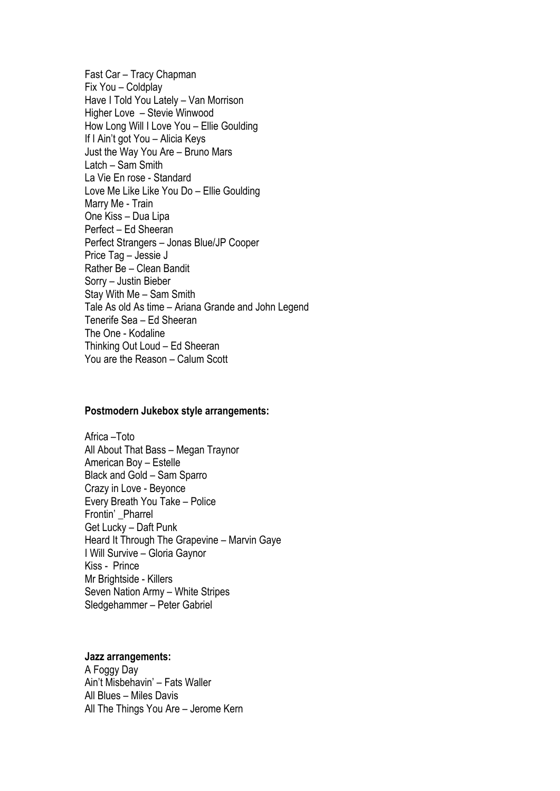Fast Car – Tracy Chapman Fix You – Coldplay Have I Told You Lately – Van Morrison Higher Love – Stevie Winwood How Long Will I Love You – Ellie Goulding If I Ain't got You – Alicia Keys Just the Way You Are – Bruno Mars Latch – Sam Smith La Vie En rose - Standard Love Me Like Like You Do – Ellie Goulding Marry Me - Train One Kiss – Dua Lipa Perfect – Ed Sheeran Perfect Strangers – Jonas Blue/JP Cooper Price Tag – Jessie J Rather Be – Clean Bandit Sorry – Justin Bieber Stay With Me – Sam Smith Tale As old As time – Ariana Grande and John Legend Tenerife Sea – Ed Sheeran The One - Kodaline Thinking Out Loud – Ed Sheeran You are the Reason – Calum Scott

## **Postmodern Jukebox style arrangements:**

Africa –Toto All About That Bass – Megan Traynor American Boy – Estelle Black and Gold – Sam Sparro Crazy in Love - Beyonce Every Breath You Take – Police Frontin' Pharrel Get Lucky – Daft Punk Heard It Through The Grapevine – Marvin Gaye I Will Survive – Gloria Gaynor Kiss - Prince Mr Brightside - Killers Seven Nation Army – White Stripes Sledgehammer – Peter Gabriel

**Jazz arrangements:** A Foggy Day Ain't Misbehavin' – Fats Waller All Blues – Miles Davis All The Things You Are – Jerome Kern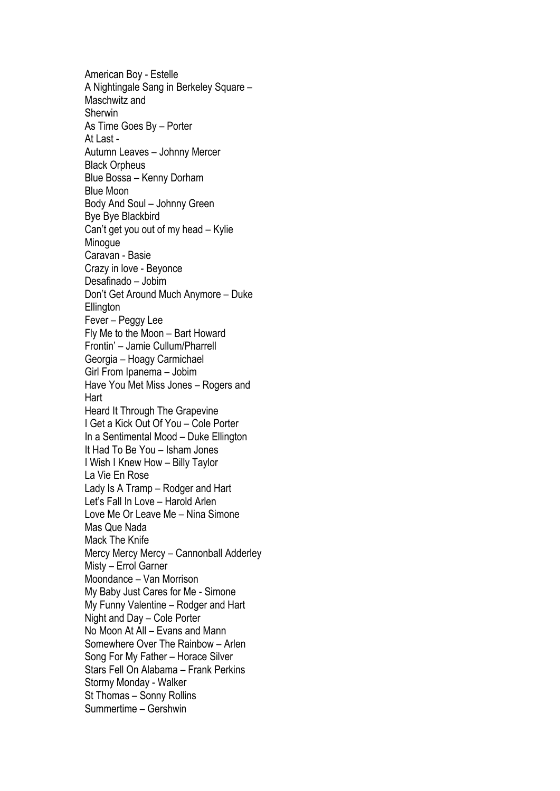American Boy - Estelle A Nightingale Sang in Berkeley Square – Maschwitz and Sherwin As Time Goes By – Porter At Last - Autumn Leaves – Johnny Mercer Black Orpheus Blue Bossa – Kenny Dorham Blue Moon Body And Soul – Johnny Green Bye Bye Blackbird Can't get you out of my head – Kylie **Minogue** Caravan - Basie Crazy in love - Beyonce Desafinado – Jobim Don't Get Around Much Anymore – Duke **Ellington** Fever – Peggy Lee Fly Me to the Moon – Bart Howard Frontin' – Jamie Cullum/Pharrell Georgia – Hoagy Carmichael Girl From Ipanema – Jobim Have You Met Miss Jones – Rogers and **Hart** Heard It Through The Grapevine I Get a Kick Out Of You – Cole Porter In a Sentimental Mood – Duke Ellington It Had To Be You – Isham Jones I Wish I Knew How – Billy Taylor La Vie En Rose Lady Is A Tramp – Rodger and Hart Let's Fall In Love – Harold Arlen Love Me Or Leave Me – Nina Simone Mas Que Nada Mack The Knife Mercy Mercy Mercy – Cannonball Adderley Misty – Errol Garner Moondance – Van Morrison My Baby Just Cares for Me - Simone My Funny Valentine – Rodger and Hart Night and Day – Cole Porter No Moon At All – Evans and Mann Somewhere Over The Rainbow – Arlen Song For My Father – Horace Silver Stars Fell On Alabama – Frank Perkins Stormy Monday - Walker St Thomas – Sonny Rollins Summertime – Gershwin